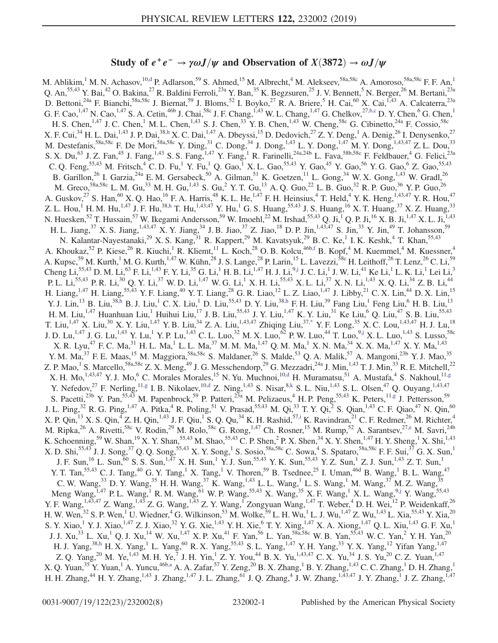## Study of  $e^+e^- \rightarrow \gamma \omega J/\psi$  and Observation of  $X(3872) \rightarrow \omega J/\psi$

<span id="page-0-5"></span><span id="page-0-2"></span><span id="page-0-0"></span>M. Ablikim,<sup>1</sup> M. N. Achasov,<sup>10[,d](#page-6-0)</sup> P. Adlarson,<sup>59</sup> S. Ahmed,<sup>15</sup> M. Albrecht,<sup>4</sup> M. Alekseev,<sup>58a,58c</sup> A. Amoroso,<sup>58a,58c</sup> F. F. An,<sup>1</sup> Q. An,<sup>55,43</sup> Y. Bai,<sup>42</sup> O. Bakina,<sup>27</sup> R. Baldini Ferroli,<sup>23a</sup> Y. Ban,<sup>35</sup> K. Begzsuren,<sup>25</sup> J. V. Bennett,<sup>5</sup> N. Berger,<sup>26</sup> M. Bertani,<sup>23a</sup> D. Bettoni,<sup>24a</sup> F. Bianchi,<sup>58a,58c</sup> J. Biernat,<sup>59</sup> J. Bloms,<sup>52</sup> I. Boyko,<sup>27</sup> R. A. Briere,<sup>5</sup> H. Cai,<sup>60</sup> X. Cai,<sup>1,43</sup> A. Calcaterra,<sup>23a</sup> G. F. Cao,<sup>1,47</sup> N. Cao,<sup>1,47</sup> S. A. Cetin,<sup>46b</sup> J. Chai,<sup>58c</sup> J. F. Chang,<sup>1,43</sup> W. L. Chang,<sup>1,47</sup> G. Chelkov,<sup>27[,b,c](#page-6-1)</sup> D. Y. Chen,<sup>6</sup> G. Chen,<sup>1</sup> H. S. Chen,<sup>1,47</sup> J. C. Chen,<sup>1</sup> M. L. Chen,<sup>1,43</sup> S. J. Chen,<sup>33</sup> Y. B. Chen,<sup>1,43</sup> W. Cheng,<sup>58c</sup> G. Cibinetto,<sup>24a</sup> F. Cossio,<sup>58c</sup> X. F. Cui,  $34$  H. L. Dai,  $1,43$  J. P. Dai,  $38, h$  X. C. Dai,  $1,47$  A. Dbeyssi,  $15$  D. Dedovich,  $27$  Z. Y. Deng,  $1$  A. Denig,  $26$  I. Denysenko,  $27$ M. Destefanis,  ${}^{58a,58c}$  F. De Mori,  ${}^{58a,58c}$  Y. Ding,  ${}^{31}$  C. Dong,  ${}^{34}$  J. Dong,  ${}^{1,43}$  L. Y. Dong,  ${}^{1,47}$  M. Y. Dong,  ${}^{1,43,47}$  Z. L. Dou,  ${}^{33}$ S. X. Du,<sup>63</sup> J. Z. Fan,<sup>45</sup> J. Fang,<sup>1,43</sup> S. S. Fang,<sup>1,47</sup> Y. Fang,<sup>1</sup> R. Farinelli,<sup>24a,24b</sup> L. Fava,<sup>58b,58c</sup> F. Feldbauer,<sup>4</sup> G. Felici,<sup>23a</sup> C. Q. Feng,  $^{55,43}$  M. Fritsch,  $^{4}$  C. D. Fu,  $^{1}$  Y. Fu, Q. Gao,  $^{1}$  X. L. Gao,  $^{55,43}$  Y. Gao,  $^{45}$  Y. Gao,  $^{56}$  Y. G. Gao,  $^{6}$  Z. Gao,  $^{55,43}$ B. Garillon,<sup>26</sup> I. Garzia,<sup>24a</sup> E. M. Gersabeck,<sup>50</sup> A. Gilman,<sup>51</sup> K. Goetzen,<sup>11</sup> L. Gong,<sup>34</sup> W. X. Gong,<sup>1,43</sup> W. Gradl,<sup>26</sup> M. Greco, $^{58a,58c}$  L. M. Gu, $^{33}$  M. H. Gu, $^{1,43}$  S. Gu, $^2$  Y. T. Gu, $^{13}$  A. Q. Guo, $^{22}$  L. B. Guo, $^{32}$  R. P. Guo, $^{36}$  Y. P. Guo, $^{26}$ A. Guskov,  $^{27}$  S. Han,  $^{60}$  X. Q. Hao,  $^{16}$  F. A. Harris,  $^{48}$  K. L. He,  $^{1,47}$  F. H. Heinsius,  $^{4}$  T. Held,  $^{4}$  Y. K. Heng,  $^{1,43,47}$  Y. R. Hou,  $^{47}$ Z. L. Hou,<sup>1</sup> H. M. Hu,<sup>1,47</sup> J. F. Hu,<sup>38[,h](#page-7-0)</sup> T. Hu,<sup>1,43,47</sup> Y. Hu,<sup>1</sup> G. S. Huang,<sup>55,43</sup> J. S. Huang,<sup>16</sup> X. T. Huang,<sup>37</sup> X. Z. Huang,<sup>33</sup> N. Huesken, $^{52}$  T. Hussain, $^{57}$  W. Ikegami Andersson, $^{59}$  W. Imoehl, $^{22}$  M. Irshad, $^{55,43}$  Q. Ji, $^1$  Q. P. Ji, $^{16}$  X. B. Ji, $^{1,47}$  X. L. Ji, $^{1,43}$ H. L. Jiang, <sup>37</sup> X. S. Jiang, <sup>1,43,47</sup> X. Y. Jiang, <sup>34</sup> J. B. Jiao, <sup>37</sup> Z. Jiao, <sup>18</sup> D. P. Jin, <sup>1,43,47</sup> S. Jin, <sup>33</sup> Y. Jin, <sup>49</sup> T. Johansson, <sup>59</sup> N. Kalantar-Nayestanaki,<sup>29</sup> X. S. Kang,<sup>31</sup> R. Kappert,<sup>29</sup> M. Kavatsyuk,<sup>29</sup> B. C. Ke,<sup>1</sup> I. K. Keshk,<sup>4</sup> T. Khan,<sup>55,43</sup> A. Khoukaz,<sup>52</sup> P. Kiese,<sup>26</sup> R. Kiuchi,<sup>1</sup> R. Kliemt,<sup>11</sup> L. Koch,<sup>28</sup> O. B. Kolcu,<sup>46b[,f](#page-7-1)</sup> B. Kopf,<sup>4</sup> M. Kuemmel,<sup>4</sup> M. Kuessner,<sup>4</sup> A. Kupsc,<sup>59</sup> M. Kurth,<sup>1</sup> M. G. Kurth,<sup>1,47</sup> W. Kühn,<sup>28</sup> J. S. Lange,<sup>28</sup> P. Larin,<sup>15</sup> L. Lavezzi,<sup>58c</sup> H. Leithoff,<sup>26</sup> T. Lenz,<sup>26</sup> C. Li,<sup>59</sup> Cheng Li, $^{55,43}$  D. M. Li, $^{63}$  F. Li, $^{1,43}$  F. Y. Li, $^{35}$  G. Li, $^1$  H. B. Li, $^{1,47}$  H. J. Li, $^{9,}$  J. C. Li, $^1$  J. W. Li, $^{41}$  Ke Li, $^1$  L. K. Li, $^1$  Lei Li, $^3$ P. L. Li,<sup>55,43</sup> P. R. Li,<sup>30</sup> Q. Y. Li,<sup>37</sup> W. D. Li,<sup>1,47</sup> W. G. Li,<sup>1</sup> X. H. Li,<sup>55,43</sup> X. L. Li,<sup>37</sup> X. N. Li,<sup>1,43</sup> X. Q. Li,<sup>34</sup> Z. B. Li,<sup>44</sup> H. Liang,<sup>1,47</sup> H. Liang,<sup>55,43</sup> Y. F. Liang,<sup>40</sup> Y. T. Liang,<sup>28</sup> G. R. Liao,<sup>12</sup> L. Z. Liao,<sup>1,47</sup> J. Libby,<sup>21</sup> C. X. Lin,<sup>44</sup> D. X. Lin,<sup>15</sup> Y. J. Lin,<sup>13</sup> B. Liu,<sup>3[8,h](#page-7-0)</sup> B. J. Liu,<sup>1</sup> C. X. Liu,<sup>1</sup> D. Liu,<sup>55,43</sup> D. Y. Liu,<sup>38[,h](#page-7-0)</sup> F. H. Liu,<sup>39</sup> Fang Liu,<sup>1</sup> Feng Liu,<sup>6</sup> H. B. Liu,<sup>13</sup> H. M. Liu,<sup>1,47</sup> Huanhuan Liu,<sup>1</sup> Huihui Liu,<sup>17</sup> J. B. Liu,<sup>55,43</sup> J. Y. Liu,<sup>1,47</sup> K. Y. Liu,<sup>31</sup> Ke Liu,<sup>6</sup> Q. Liu,<sup>47</sup> S. B. Liu,<sup>55,43</sup> T. Liu,<sup>1,47</sup> X. Liu,<sup>30</sup> X. Y. Liu,<sup>1,47</sup> Y. B. Liu,<sup>34</sup> Z. A. Liu,<sup>1,43,47</sup> Zhiqing Liu,<sup>37[,\\*](#page-6-2)</sup> Y. F. Long,<sup>35</sup> X. C. Lou,<sup>1,43,47</sup> H. J. Lu,<sup>18</sup> J. D. Lu,<sup>1,47</sup> J. G. Lu,<sup>1,43</sup> Y. Lu,<sup>1</sup> Y. P. Lu,<sup>1,43</sup> C. L. Luo,<sup>32</sup> M. X. Luo,<sup>62</sup> P. W. Luo,<sup>44</sup> T. Luo,<sup>9</sup>j X. L. Luo,<sup>1,43</sup> S. Lusso,<sup>58c</sup>  $X$ . R. Lyu,<sup>47</sup> F. C. Ma,<sup>31</sup> H. L. Ma,<sup>1</sup> L. L. Ma,<sup>37</sup> M. M. Ma,<sup>1,47</sup> Q. M. Ma,<sup>1</sup> X. N. Ma,<sup>34</sup> X. X. Ma,<sup>1,47</sup> X. Y. Ma,<sup>1,43</sup> Y. M. Ma,<sup>37</sup> F. E. Maas,<sup>15</sup> M. Maggiora,<sup>58a,58c</sup> S. Maldaner,<sup>26</sup> S. Malde,<sup>53</sup> Q. A. Malik,<sup>57</sup> A. Mangoni,<sup>23b</sup> Y. J. Mao,<sup>35</sup> Z. P. Mao,<sup>1</sup> S. Marcello,<sup>58a,58c</sup> Z. X. Meng,<sup>49</sup> J. G. Messchendorp,<sup>29</sup> G. Mezzadri,<sup>24a</sup> J. Min,<sup>1,43</sup> T. J. Min,<sup>33</sup> R. E. Mitchell,<sup>22</sup> X. H. Mo,<sup>1,43,47</sup> Y. J. Mo,<sup>6</sup> C. Morales Morales,<sup>15</sup> N. Yu. Muchnoi,<sup>10[,d](#page-6-0)</sup> H. Muramatsu,<sup>51</sup> A. Mustafa,<sup>4</sup> S. Nakhoul,<sup>1[1,g](#page-7-3)</sup> Y. Nefedov,  $^{27}$  F. Nerling,  $^{11,g}$  $^{11,g}$  $^{11,g}$  I. B. Nikolaev,  $^{10,d}$  $^{10,d}$  $^{10,d}$  Z. Ning,  $^{1,43}$  S. Nisar,  $^{8,k}$  $^{8,k}$  $^{8,k}$  S. L. Niu,  $^{1,43}$  S. L. Olsen,  $^{47}$  Q. Ouyang,  $^{1,43,47}$ S. Pacetti,<sup>23b</sup> Y. Pan,<sup>55,43</sup> M. Papenbrock,<sup>59</sup> P. Patteri,<sup>23a</sup> M. Pelizaeus,<sup>4</sup> H. P. Peng,<sup>55,43</sup> K. Peters,<sup>11[,g](#page-7-3)</sup> J. Pettersson,<sup>59</sup> J. L. Ping,<sup>32</sup> R. G. Ping,<sup>1,47</sup> A. Pitka,<sup>4</sup> R. Poling,<sup>51</sup> V. Prasad,<sup>55,43</sup> M. Qi,<sup>33</sup> T. Y. Qi,<sup>2</sup> S. Qian,<sup>1,43</sup> C. F. Qiao,<sup>47</sup> N. Qin,<sup>60</sup> X. P. Qin,<sup>13</sup> X. S. Qin,<sup>4</sup> Z. H. Qin,<sup>1,43</sup> J. F. Qiu,<sup>1</sup> S. Q. Qu,<sup>34</sup> K. H. Rashid,<sup>57[,i](#page-7-5)</sup> K. Ravindran,<sup>21</sup> C. F. Redmer,<sup>26</sup> M. Richter,<sup>4</sup> M. Ripka,<sup>26</sup> A. Rivetti,<sup>58c</sup> V. Rodin,<sup>29</sup> M. Rolo,<sup>58c</sup> G. Rong,<sup>1,47</sup> Ch. Rosner,<sup>15</sup> M. Rump,<sup>52</sup> A. Sarantsev,<sup>2[7,e](#page-7-6)</sup> M. Savri,<sup>24b</sup> K. Schoenning,<sup>59</sup> W. Shan,<sup>19</sup> X. Y. Shan,<sup>55,43</sup> M. Shao,<sup>55,43</sup> C. P. Shen,<sup>2</sup> P. X. Shen,<sup>34</sup> X. Y. Shen,<sup>1,47</sup> H. Y. Sheng,<sup>1</sup> X. Shi,<sup>1,43</sup> X. D. Shi,<sup>55,43</sup> J. J. Song,<sup>37</sup> Q. Q. Song,<sup>55,43</sup> X. Y. Song,<sup>1</sup> S. Sosio,<sup>58a,58c</sup> C. Sowa,<sup>4</sup> S. Spataro,<sup>58a,58c</sup> F. F. Sui,<sup>37</sup> G. X. Sun,<sup>1</sup> J. F. Sun,<sup>16</sup> L. Sun,<sup>60</sup> S. S. Sun,<sup>1,47</sup> X. H. Sun,<sup>1</sup> Y. J. Sun,<sup>55,43</sup> Y. K. Sun,<sup>55,43</sup> Y. Z. Sun,<sup>1</sup> Z. J. Sun,<sup>1,43</sup> Z. T. Sun,<sup>1</sup> Y. T. Tan,<sup>55,43</sup> C. J. Tang,<sup>40</sup> G. Y. Tang,<sup>1</sup> X. Tang,<sup>1</sup> V. Thoren,<sup>59</sup> B. Tsednee,<sup>25</sup> I. Uman,<sup>46d</sup> B. Wang,<sup>1</sup> B. L. Wang,<sup>47</sup> C. W. Wang,  $3^3$  D. Y. Wang,  $3^5$  H. H. Wang,  $3^7$  K. Wang,  $1^{43}$  L. L. Wang,  $1^{1}$  L. S. Wang,  $1^{1}$  M. Wang,  $3^7$  M. Z. Wang,  $3^5$ Meng Wang,<sup>1,47</sup> P. L. Wang,<sup>1</sup> R. M. Wang,<sup>61</sup> W. P. Wang,<sup>55,43</sup> X. Wang,<sup>35</sup> X. F. Wang,<sup>1</sup> X. L. Wang,<sup>9[,j](#page-7-2)</sup> Y. Wang,<sup>55,43</sup> Y. F. Wang,<sup>1,43,47</sup> Z. Wang,<sup>1,43</sup> Z. G. Wang,<sup>1,43</sup> Z. Y. Wang,<sup>1</sup> Zongyuan Wang,<sup>1,47</sup> T. Weber,<sup>4</sup> D. H. Wei,<sup>12</sup> P. Weidenkaff,<sup>26</sup> H. W. Wen,<sup>32</sup> S. P. Wen,<sup>1</sup> U. Wiedner,<sup>4</sup> G. Wilkinson,<sup>53</sup> M. Wolke,<sup>59</sup> L. H. Wu,<sup>1</sup> L. J. Wu,<sup>1,47</sup> Z. Wu,<sup>1,43</sup> L. Xia,<sup>55,43</sup> Y. Xia,<sup>20</sup> S. Y. Xiao,<sup>1</sup> Y. J. Xiao,<sup>1,47</sup> Z. J. Xiao,<sup>32</sup> Y. G. Xie,<sup>1,43</sup> Y. H. Xie,<sup>6</sup> T. Y. Xing,<sup>1,47</sup> X. A. Xiong,<sup>1,47</sup> Q. L. Xiu,<sup>1,43</sup> G. F. Xu,<sup>1</sup> J. J. Xu,<sup>33</sup> L. Xu,<sup>1</sup> Q. J. Xu,<sup>14</sup> W. Xu,<sup>1,47</sup> X. P. Xu,<sup>41</sup> F. Yan,<sup>56</sup> L. Yan,<sup>58a,58c</sup> W. B. Yan,<sup>55,43</sup> W. C. Yan,<sup>2</sup> Y. H. Yan,<sup>20</sup> H. J. Yang,<sup>38[,h](#page-7-0)</sup> H. X. Yang,<sup>1</sup> L. Yang,<sup>60</sup> R. X. Yang,<sup>55,43</sup> S. L. Yang,<sup>1,47</sup> Y. H. Yang,<sup>33</sup> Y. X. Yang,<sup>12</sup> Yifan Yang,<sup>1,47</sup> Z. Q. Yang,<sup>20</sup> M. Ye,<sup>1,43</sup> M. H. Ye,<sup>7</sup> J. H. Yin,<sup>1</sup> Z. Y. You,<sup>44</sup> B. X. Yu,<sup>1,43,47</sup> C. X. Yu,<sup>34</sup> J. S. Yu,<sup>20</sup> C. Z. Yuan,<sup>1,47</sup> X. Q. Yuan,<sup>35</sup> Y. Yuan,<sup>1</sup> A. Yuncu,<sup>46b[,a](#page-6-3)</sup> A. A. Zafar,<sup>57</sup> Y. Zeng,<sup>20</sup> B. X. Zhang,<sup>1</sup> B. Y. Zhang,<sup>1,43</sup> C. C. Zhang,<sup>1</sup> D. H. Zhang,<sup>1</sup> H. H. Zhang,<sup>44</sup> H. Y. Zhang,<sup>1,43</sup> J. Zhang,<sup>1,47</sup> J. L. Zhang,<sup>61</sup> J. O. Zhang,<sup>4</sup> J. W. Zhang,<sup>1,43,47</sup> J. Y. Zhang,<sup>1</sup> J. Z. Zhang,<sup>1,47</sup>

<span id="page-0-9"></span><span id="page-0-8"></span><span id="page-0-7"></span><span id="page-0-6"></span><span id="page-0-4"></span><span id="page-0-3"></span><span id="page-0-1"></span>0031-9007/19/122(23)/232002(8) 232002-1 Published by the American Physical Society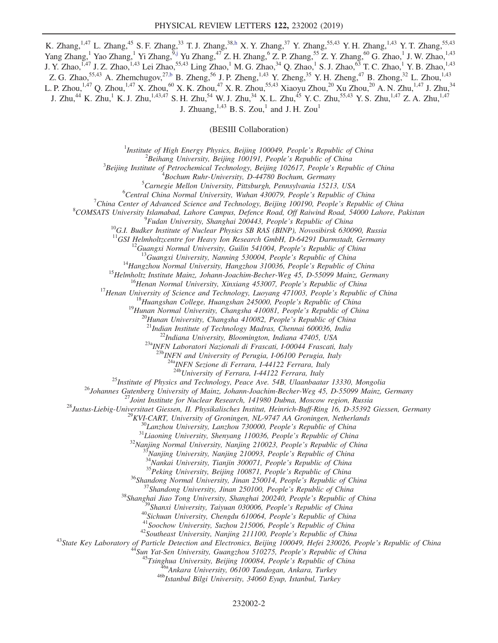K. Zhang,<sup>1,47</sup> L. Zhang,<sup>45</sup> S. F. Zhang,<sup>33</sup> T. J. Zhang,<sup>38[,h](#page-7-0)</sup> X. Y. Zhang,<sup>37</sup> Y. Zhang,<sup>55,43</sup> Y. H. Zhang,<sup>1,43</sup> Y. T. Zhang,<sup>55,43</sup> Yang Zhang,<sup>1</sup> Yao Zhang,<sup>1</sup> Yi Zhang,<sup>[9,j](#page-7-2)</sup> Yu Zhang,<sup>47</sup> Z. H. Zhang,<sup>6</sup> Z. P. Zhang,<sup>55</sup> Z. Y. Zhang,<sup>60</sup> G. Zhao,<sup>1</sup> J. W. Zhao,<sup>1,43</sup> J. Y. Zhao,<sup>1,47</sup> J. Z. Zhao,<sup>1,43</sup> Lei Zhao,<sup>55,43</sup> Ling Zhao,<sup>1</sup> M. G. Zhao,<sup>34</sup> Q. Zhao,<sup>1</sup> S. J. Zhao,<sup>63</sup> T. C. Zhao,<sup>1</sup> Y. B. Zhao,<sup>1,43</sup> Z. G. Zhao,  $55,43$  A. Zhemchugov,  $27, b$  B. Zheng,  $56$  J. P. Zheng,  $1,43$  Y. Zheng,  $35$  Y. H. Zheng,  $47$  B. Zhong,  $32$  L. Zhou,  $1,43$ L. P. Zhou,<sup>1,47</sup> Q. Zhou,<sup>1,47</sup> X. Zhou,<sup>60</sup> X. K. Zhou,<sup>47</sup> X. R. Zhou,<sup>55,43</sup> Xiaoyu Zhou,<sup>20</sup> Xu Zhou,<sup>20</sup> A. N. Zhu,<sup>1,47</sup> J. Zhu,<sup>34</sup> J. Zhu, $^{44}$  K. Zhu, $^{1}$  K. J. Zhu, $^{1,43,47}$  S. H. Zhu, $^{54}$  W. J. Zhu, $^{34}$  X. L. Zhu, $^{45}$  Y. C. Zhu, $^{55,43}$  Y. S. Zhu, $^{1,47}$  Z. A. Zhu, $^{1,47}$ J. Zhuang,  $^{1,43}$  B. S. Zou,<sup>1</sup> and J. H. Zou<sup>1</sup>

(BESIII Collaboration)

<sup>1</sup>Institute of High Energy Physics, Beijing 100049, People's Republic of China  $\frac{2 \text{Poibana}}{2}$  $^2$ Beihang University, Beijing 100191, People's Republic of China

 $3B$ eijing Institute of Petrochemical Technology, Beijing 102617, People's Republic of China

 ${}^{4}$ Bochum Ruhr-University, D-44780 Bochum, Germany

 ${}^{5}$ Carnegie Mellon University, Pittsburgh, Pennsylvania 15213, USA

 ${}^{6}$ Central China Normal University, Wuhan 430079, People's Republic of China

<sup>7</sup>China Center of Advanced Science and Technology, Beijing 100190, People's Republic of China

<sup>8</sup>COMSATS University Islamabad, Lahore Campus, Defence Road, Off Raiwind Road, 54000 Lahore, Pakistan <sup>9</sup>Fudan University, Shanghai 200443, People's Republic of China

<sup>10</sup>G.I. Budker Institute of Nuclear Physics SB RAS (BINP), Novosibirsk 630090, Russia <sup>11</sup>GSI Helmholtzcentre for Heavy Ion Research GmbH, D-64291 Darmstadt, Germany

<sup>11</sup>GSI Helmholtzcentre for Heavy Ion Research GmbH, D-64291 Darmstadt, Germany<br><sup>12</sup>Guangxi Normal University, Guilin 541004, People's Republic of China<br><sup>13</sup>Guangxi University, Nanning 530004, People's Republic of China<br><sup></sup>

 $^{23a}$ INFN Laboratori Nazionali di Frascati, I-00044 Frascati, Italy<br> $^{23b}$ INFN and University of Perugia, I-06100 Perugia, Italy

 $\frac{24a}{10}$ INFN Sezione di Ferrara, I-44122 Ferrara, Italy<br> $\frac{24b}{10}$ University of Ferrara, I-44122 Ferrara, Italy

<sup>28</sup>University of Ferrara, 144122 Ferrara, Italy<br>
<sup>28</sup>University of Physics and Technology, Peace Ave. 548, Ulaanbaar 13330, Mongolia<br>
<sup>26</sup>Uniamate Given the include The Nuclear Research, 144122 Ferrara, Isoloma, Moscow r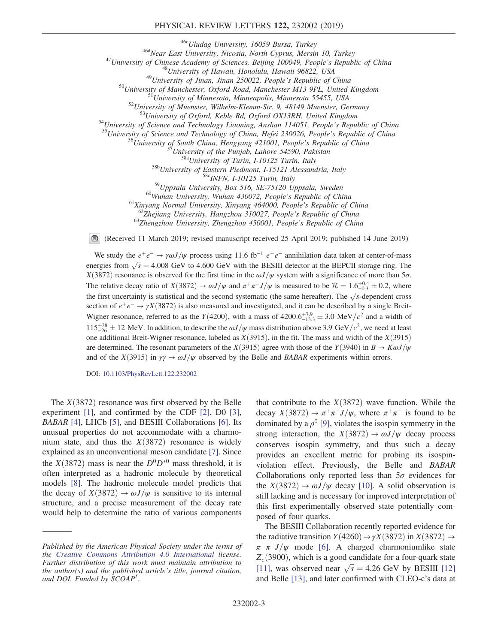<sup>466</sup>Vludag University, 16059 Bursa, Turkey<br><sup>46</sup>Vluiversity of China East University, Nicosia, North Cyprus, Mersin 10, Turkey<br><sup>47</sup>University of China <sup>48</sup>University of Hawaii, Honolulu, Hawaii 96822, USA<br><sup>49</sup>University o <sup>58b</sup>University of Eastern Piedmont, I-15121 Alessandria, Italy<br><sup>58c</sup>INFN, I-10125 Turin, Italy<br><sup>59</sup>Uppsala University, Box 516, SE-75120 Uppsala, Sweden<br><sup>60</sup>Wuhan University, Wuhan 430072, People's Republic of China<br><sup>61</sup>

(Received 11 March 2019; revised manuscript received 25 April 2019; published 14 June 2019)

We study the  $e^+e^- \rightarrow \gamma \omega J/\psi$  process using 11.6 fb<sup>-1</sup>  $e^+e^-$  annihilation data taken at center-of-mass energies from  $\sqrt{s} = 4.008$  GeV to 4.600 GeV with the BESIII detector at the BEPCII storage ring. The  $\frac{V(3872)}{S}$  recognizes is observed for the first time in the  $\frac{\alpha}{k}$ /*w* system with a significance of more than X(3872) resonance is observed for the first time in the  $\omega J/\psi$  system with a significance of more than  $5\sigma$ . The relative decay ratio of  $X(3872) \to \omega J/\psi$  and  $\pi^+\pi^-J/\psi$  is measured to be  $\mathcal{R} = 1.6^{+0.4}_{-0.3} \pm 0.2$ , where the first uncertainty is statistical and the second systematic (the same hereafter). The  $\sqrt{s}$ -dependent cross section of  $e^+e^- \rightarrow \gamma X(3872)$  is also measured and investigated, and it can be described by a single Breit-Wigner resonance, referred to as the Y(4200), with a mass of 4200.6<sup>+7,9</sup>  $\pm$  3.0 MeV/c<sup>2</sup> and a width of  $115^{+38}_{-26} \pm 12$  MeV. In addition, to describe the  $\omega J/\psi$  mass distribution above 3.9 GeV/c<sup>2</sup>, we need at least one additional Breit-Wigner resonance, labeled as  $X(3915)$ , in the fit. The mass and width of the  $X(3915)$  or determined. The resonance as the  $Y(3015)$  are with these of the  $Y(3040)$  in  $P \rightarrow K \odot I/\nu$ are determined. The resonant parameters of the X(3915) agree with those of the Y(3940) in  $B \to K \omega J/\psi$ and of the  $X(3915)$  in  $\gamma\gamma \to \omega J/\psi$  observed by the Belle and BABAR experiments within errors.

DOI: [10.1103/PhysRevLett.122.232002](https://doi.org/10.1103/PhysRevLett.122.232002)

The  $X(3872)$  resonance was first observed by the Belle experiment [\[1\]](#page-7-7), and confirmed by the CDF [\[2\],](#page-7-8) D0 [\[3\]](#page-7-9), BABAR [\[4\]](#page-7-10), LHCb [\[5\],](#page-7-11) and BESIII Collaborations [\[6\].](#page-7-12) Its unusual properties do not accommodate with a charmonium state, and thus the  $X(3872)$  resonance is widely explained as an unconventional meson candidate [\[7\].](#page-7-13) Since the  $X(3872)$  mass is near the  $\overline{D}{}^0D^{*0}$  mass threshold, it is often interpreted as a hadronic molecule by theoretical models [\[8\]](#page-7-14). The hadronic molecule model predicts that the decay of  $X(3872) \rightarrow \omega J/\psi$  is sensitive to its internal structure, and a precise measurement of the decay rate would help to determine the ratio of various components that contribute to the  $X(3872)$  wave function. While the decay  $X(3872) \rightarrow \pi^+\pi^- J/\psi$ , where  $\pi^+\pi^-$  is found to be dominated by a  $\rho^0$  [\[9\],](#page-7-15) violates the isospin symmetry in the strong interaction, the  $X(3872) \rightarrow \omega J/\psi$  decay process conserves isospin symmetry, and thus such a decay provides an excellent metric for probing its isospinviolation effect. Previously, the Belle and BABAR Collaborations only reported less than  $5\sigma$  evidences for the  $X(3872) \rightarrow \omega J/\psi$  decay [\[10\]](#page-7-16). A solid observation is still lacking and is necessary for improved interpretation of this first experimentally observed state potentially composed of four quarks.

The BESIII Collaboration recently reported evidence for the radiative transition  $Y(4260) \rightarrow \gamma X(3872)$  in  $X(3872) \rightarrow$  $\pi^{+}\pi^{-}J/\psi$  mode [\[6\]](#page-7-12). A charged charmoniumlike state  $Z_c$ (3900), which is a good candidate for a four-quark state [\[11\]](#page-7-17), was observed near  $\sqrt{s} = 4.26$  GeV by BESIII [\[12\]](#page-7-18) and Belle [13] and later confirmed with CLEO-c's data at and Belle [\[13\]](#page-7-19), and later confirmed with CLEO-c's data at

Published by the American Physical Society under the terms of the [Creative Commons Attribution 4.0 International](https://creativecommons.org/licenses/by/4.0/) license. Further distribution of this work must maintain attribution to the author(s) and the published article's title, journal citation, and DOI. Funded by SCOAP<sup>3</sup>.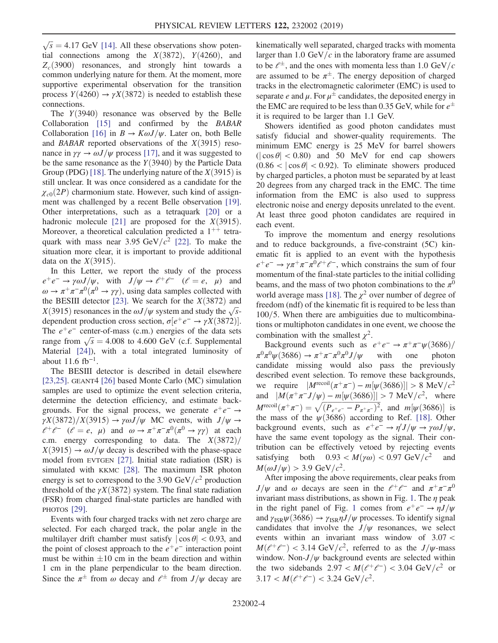$\sqrt{s}$  = 4.17 GeV [\[14\]](#page-7-20). All these observations show potential connections among the  $X(3872)$   $Y(4260)$  and tial connections among the  $X(3872)$ ,  $Y(4260)$ , and  $Z_c(3900)$  resonances, and strongly hint towards a common underlying nature for them. At the moment, more supportive experimental observation for the transition process  $Y(4260) \rightarrow \gamma X(3872)$  is needed to establish these connections.

The  $Y(3940)$  resonance was observed by the Belle Collaboration [\[15\]](#page-7-21) and confirmed by the BABAR Collaboration [\[16\]](#page-7-22) in  $B \to K \omega J/\psi$ . Later on, both Belle and *BABAR* reported observations of the  $X(3915)$  resonance in  $\gamma\gamma \rightarrow \omega J/\psi$  process [\[17\],](#page-7-23) and it was suggested to be the same resonance as the  $Y(3940)$  by the Particle Data Group (PDG) [\[18\].](#page-7-24) The underlying nature of the  $X(3915)$  is still unclear. It was once considered as a candidate for the  $\chi_{c0}(2P)$  charmonium state. However, such kind of assignment was challenged by a recent Belle observation [\[19\]](#page-7-25). Other interpretations, such as a tetraquark [\[20\]](#page-7-26) or a hadronic molecule [\[21\]](#page-7-27) are proposed for the  $X(3915)$ . Moreover, a theoretical calculation predicted a  $1^{++}$  tetraquark with mass near 3.95 GeV/ $c^2$  [\[22\]](#page-7-28). To make the situation more clear, it is important to provide additional data on the  $X(3915)$ .

In this Letter, we report the study of the process  $e^+e^- \rightarrow \gamma \omega J/\psi$ , with  $J/\psi \rightarrow \ell^+ \ell^-$  ( $\ell = e$ ,  $\mu$ ) and  $\omega \to \pi^+ \pi^- \pi^0 (\pi^0 \to \gamma \gamma)$ , using data samples collected with the BESIII detector [\[23\].](#page-7-29) We search for the  $X(3872)$  and  $X(3915)$  resonances in the  $\omega J/\psi$  system and study the  $\sqrt{s}$ -<br>dependent production cross section  $\sigma[e^+e^- \to \gamma X(3872)]$ dependent production cross section,  $\sigma[e^+e^- \to \gamma X(3872)]$ . The  $e^+e^-$  center-of-mass (c.m.) energies of the data sets range from  $\sqrt{s} = 4.008$  to 4.600 GeV (c.f. Supplemental<br>Material [241] with a total integrated luminosity of Material [\[24\]\)](#page-7-30), with a total integrated luminosity of about  $11.6 \text{ fb}^{-1}$ .

The BESIII detector is described in detail elsewhere [\[23,25\]](#page-7-29). GEANT4 [\[26\]](#page-7-31) based Monte Carlo (MC) simulation samples are used to optimize the event selection criteria, determine the detection efficiency, and estimate backgrounds. For the signal process, we generate  $e^+e^- \rightarrow$  $\gamma X(3872)/X(3915) \rightarrow \gamma \omega J/\psi$  MC events, with  $J/\psi \rightarrow$  $\ell^+ \ell^-$  ( $\ell = e$ ,  $\mu$ ) and  $\omega \to \pi^+ \pi^- \pi^0 (\pi^0 \to \gamma \gamma)$  at each c.m. energy corresponding to data. The  $X(3872)$  $X(3915) \rightarrow \omega J/\psi$  decay is described with the phase-space model from EVTGEN [\[27\]](#page-7-32). Initial state radiation (ISR) is simulated with KKMC [\[28\]](#page-7-33). The maximum ISR photon energy is set to correspond to the 3.90 GeV/ $c^2$  production threshold of the  $\gamma X(3872)$  system. The final state radiation (FSR) from charged final-state particles are handled with PHOTOS [\[29\].](#page-7-34)

Events with four charged tracks with net zero charge are selected. For each charged track, the polar angle in the multilayer drift chamber must satisfy  $|\cos \theta|$  < 0.93, and the point of closest approach to the  $e^+e^-$  interaction point must be within  $\pm 10$  cm in the beam direction and within 1 cm in the plane perpendicular to the beam direction 1 cm in the plane perpendicular to the beam direction. Since the  $\pi^{\pm}$  from  $\omega$  decay and  $\ell^{\pm}$  from  $J/\psi$  decay are kinematically well separated, charged tracks with momenta larger than 1.0 GeV/ $c$  in the laboratory frame are assumed to be  $\ell^{\pm}$ , and the ones with momenta less than 1.0 GeV/c are assumed to be  $\pi^{\pm}$ . The energy deposition of charged tracks in the electromagnetic calorimeter (EMC) is used to separate e and  $\mu$ . For  $\mu^{\pm}$  candidates, the deposited energy in the EMC are required to be less than 0.35 GeV, while for  $e^\pm$ it is required to be larger than 1.1 GeV.

Showers identified as good photon candidates must satisfy fiducial and shower-quality requirements. The minimum EMC energy is 25 MeV for barrel showers  $(|\cos \theta| < 0.80)$  and 50 MeV for end cap showers  $(0.86 < |\cos \theta| < 0.92)$ . To eliminate showers produced by charged particles, a photon must be separated by at least 20 degrees from any charged track in the EMC. The time information from the EMC is also used to suppress electronic noise and energy deposits unrelated to the event. At least three good photon candidates are required in each event.

To improve the momentum and energy resolutions and to reduce backgrounds, a five-constraint (5C) kinematic fit is applied to an event with the hypothesis  $e^+e^- \rightarrow \gamma \pi^+ \pi^- \pi^0 \ell^+ \ell^-$ , which constrains the sum of four momentum of the final-state particles to the initial colliding beams, and the mass of two photon combinations to the  $\pi^0$ world average mass [\[18\].](#page-7-24) The  $\chi^2$  over number of degree of freedom (ndf) of the kinematic fit is required to be less than  $100/5$ . When there are ambiguities due to multicombinations or multiphoton candidates in one event, we choose the combination with the smallest  $\chi^2$ .

Background events such as  $e^+e^- \to \pi^+\pi^-\psi(3686)/\pi^0\pi^0\psi(3686) \to \pi^+\pi^-\pi^0\pi^0 J/\psi$  with one photon  $\pi^0 \pi^0 \psi(3686) \to \pi^+ \pi^- \pi^0 \pi^0 J/\psi$  with one photon<br>candidate missing would also pass the previously described event selection. To remove these backgrounds, we require  $|M^{\text{recoil}}(\pi^+\pi^-) - m[\psi(3686)]| > 8 \text{ MeV}/c^2$ and  $|M(\pi^+\pi^-J/\psi)-m[\psi(3686)]| > 7 \text{ MeV}/c^2$ , where  $M^{\text{recoil}}(\pi^+\pi^-) = \sqrt{(P_{e^+e^-} - P_{\pi^+\pi^-})^2}$ , and  $m[\psi(3686)]$  is<br>the mass of the  $\psi(3686)$  according to Ref. [18] Other the mass of the  $\psi$ (3686) according to Ref. [\[18\].](#page-7-24) Other background events, such as  $e^+e^- \to \eta' J/\psi \to \gamma \omega J/\psi$ , have the same event topology as the signal. Their contribution can be effectively vetoed by rejecting events satisfying both  $0.93 < M(\gamma\omega) < 0.97$  GeV/ $c^2$  and  $M(\omega J/\psi) > 3.9$  GeV/ $c^2$ .

After imposing the above requirements, clear peaks from J/ $\psi$  and  $\omega$  decays are seen in the  $\ell^+ \ell^-$  and  $\pi^+ \pi^- \pi^0$ invariant mass distributions, as shown in Fig. [1](#page-4-0). The  $\eta$  peak in the right panel of Fig. [1](#page-4-0) comes from  $e^+e^- \rightarrow \eta J/\psi$ and  $\gamma_{\rm ISR}\psi(3686)\to \gamma_{\rm ISR}\eta J/\psi$  processes. To identify signal candidates that involve the  $J/\psi$  resonances, we select events within an invariant mass window of 3.07 <  $M(\ell^+\ell^-)$  < 3.14 GeV/c<sup>2</sup>, referred to as the J/ $\psi$ -mass window. Non- $J/\psi$  background events are selected within the two sidebands  $2.97 < M(\ell^+\ell^-) < 3.04 \text{ GeV}/c^2$  or  $3.17 < M(\ell^+\ell^-) < 3.24 \text{ GeV}/c^2$ .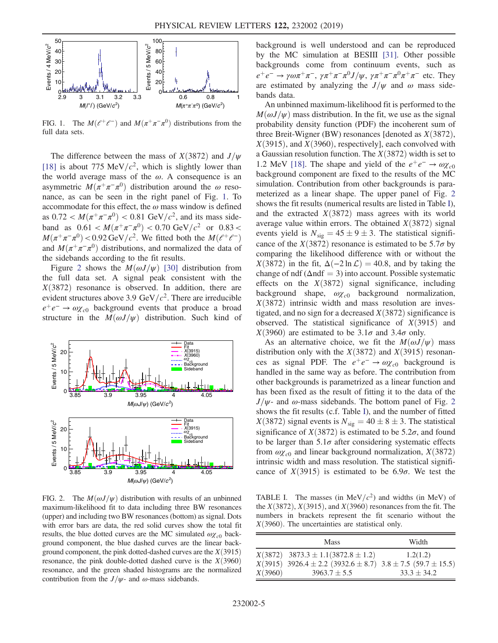<span id="page-4-0"></span>

FIG. 1. The  $M(e^+e^-)$  and  $M(\pi^+\pi^-\pi^0)$  distributions from the full data sets.

The difference between the mass of  $X(3872)$  and  $J/\psi$ [\[18\]](#page-7-24) is about 775 MeV/ $c^2$ , which is slightly lower than the world average mass of the  $\omega$ . A consequence is an asymmetric  $M(\pi^+\pi^-\pi^0)$  distribution around the  $\omega$  resonance, as can be seen in the right panel of Fig. [1.](#page-4-0) To accommodate for this effect, the  $\omega$  mass window is defined as  $0.72 < M(\pi^+\pi^-\pi^0) < 0.81$  GeV/ $c^2$ , and its mass sideband as  $0.61 < M(\pi^+\pi^-\pi^0) < 0.70 \text{ GeV}/c^2$  or  $0.83 <$  $M(\pi^+\pi^-\pi^0)$  < 0.92 GeV/c<sup>2</sup>. We fitted both the  $M(\ell^+\ell^-)$ and  $M(\pi^+\pi^-\pi^0)$  distributions, and normalized the data of the sidebands according to the fit results.

Figure [2](#page-4-1) shows the  $M(\omega J/\psi)$  [\[30\]](#page-7-35) distribution from the full data set. A signal peak consistent with the  $X(3872)$  resonance is observed. In addition, there are evident structures above 3.9 GeV/ $c^2$ . There are irreducible  $e^+e^- \rightarrow \omega \chi_{c0}$  background events that produce a broad structure in the  $M(\omega J/\psi)$  distribution. Such kind of

<span id="page-4-1"></span>

FIG. 2. The  $M(\omega J/\psi)$  distribution with results of an unbinned maximum-likelihood fit to data including three BW resonances (upper) and including two BW resonances (bottom) as signal. Dots with error bars are data, the red solid curves show the total fit results, the blue dotted curves are the MC simulated  $\omega \chi_{c0}$  background component, the blue dashed curves are the linear background component, the pink dotted-dashed curves are the  $X(3915)$ resonance, the pink double-dotted dashed curve is the  $X(3960)$ resonance, and the green shaded histograms are the normalized contribution from the  $J/\psi$ - and  $\omega$ -mass sidebands.

background is well understood and can be reproduced by the MC simulation at BESIII [\[31\].](#page-7-36) Other possible backgrounds come from continuum events, such as  $e^+e^- \rightarrow \gamma \omega \pi^+ \pi^-, \gamma \pi^+ \pi^- \pi^0 J/\psi, \gamma \pi^+ \pi^- \pi^0 \pi^+ \pi^-$  etc. They are estimated by analyzing the  $J/\psi$  and  $\omega$  mass sidebands data.

An unbinned maximum-likelihood fit is performed to the  $M(\omega J/\psi)$  mass distribution. In the fit, we use as the signal probability density function (PDF) the incoherent sum of three Breit-Wigner (BW) resonances [denoted as  $X(3872)$ ,  $X(3915)$ , and  $X(3960)$ , respectively], each convolved with a Gaussian resolution function. The  $X(3872)$  width is set to 1.2 MeV [\[18\].](#page-7-24) The shape and yield of the  $e^+e^- \rightarrow \omega \chi_{c0}$ background component are fixed to the results of the MC simulation. Contribution from other backgrounds is parameterized as a linear shape. The upper panel of Fig. [2](#page-4-1) shows the fit results (numerical results are listed in Table [I](#page-4-2)), and the extracted  $X(3872)$  mass agrees with its world average value within errors. The obtained  $X(3872)$  signal events yield is  $N_{sig} = 45 \pm 9 \pm 3$ . The statistical signifi-<br>cance of the  $Y(3872)$  resonance is estimated to be 5.7 $\sigma$  by cance of the  $X(3872)$  resonance is estimated to be 5.7 $\sigma$  by comparing the likelihood difference with or without the  $X(3872)$  in the fit,  $\Delta(-2 \ln \mathcal{L}) = 40.8$ , and by taking the change of ndf ( $\Delta$ ndf = 3) into account. Possible systematic effects on the  $X(3872)$  signal significance, including background shape,  $\omega \chi_{c0}$  background normalization,  $X(3872)$  intrinsic width and mass resolution are investigated, and no sign for a decreased  $X(3872)$  significance is observed. The statistical significance of  $X(3915)$  and  $X(3960)$  are estimated to be  $3.1\sigma$  and  $3.4\sigma$  only.

As an alternative choice, we fit the  $M(\omega J/\psi)$  mass distribution only with the  $X(3872)$  and  $X(3915)$  resonances as signal PDF. The  $e^+e^- \rightarrow \omega \chi_{c0}$  background is handled in the same way as before. The contribution from other backgrounds is parametrized as a linear function and has been fixed as the result of fitting it to the data of the  $J/\psi$ - and  $\omega$ -mass sidebands. The bottom panel of Fig. [2](#page-4-1) shows the fit results (c.f. Table [I\)](#page-4-2), and the number of fitted  $X(3872)$  signal events is  $N_{\text{sig}} = 40 \pm 8 \pm 3$ . The statistical<br>significance of  $Y(3872)$  is estimated to be 5.25, and found significance of  $X(3872)$  is estimated to be 5.2 $\sigma$ , and found to be larger than  $5.1\sigma$  after considering systematic effects from  $\omega_{\chi_{c0}}$  and linear background normalization,  $X(3872)$ intrinsic width and mass resolution. The statistical significance of  $X(3915)$  is estimated to be 6.9 $\sigma$ . We test the

<span id="page-4-2"></span>TABLE I. The masses (in MeV/ $c^2$ ) and widths (in MeV) of the  $X(3872)$ ,  $X(3915)$ , and  $X(3960)$  resonances from the fit. The numbers in brackets represent the fit scenario without the  $X(3960)$ . The uncertainties are statistical only.

|         | Mass                                                          | Width         |
|---------|---------------------------------------------------------------|---------------|
|         | $X(3872)$ 3873.3 ± 1.1(3872.8 ± 1.2)                          | 1.2(1.2)      |
|         | $X(3915)$ 3926.4 ± 2.2 (3932.6 ± 8.7) 3.8 ± 7.5 (59.7 ± 15.5) |               |
| X(3960) | $3963.7 + 5.5$                                                | $33.3 + 34.2$ |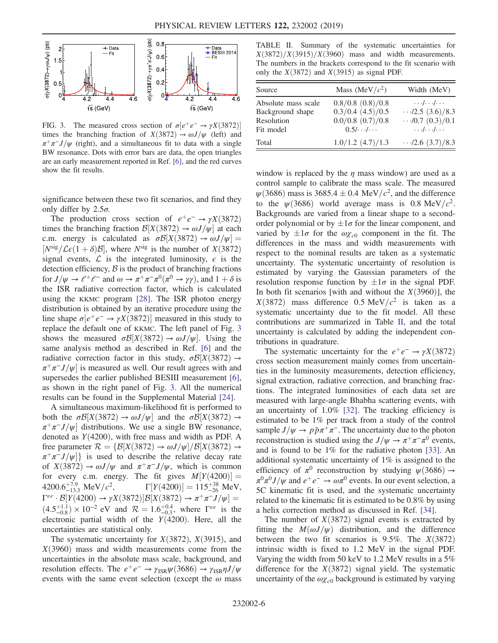<span id="page-5-0"></span>

FIG. 3. The measured cross section of  $\sigma[e^+e^- \rightarrow \gamma X(3872)]$ times the branching fraction of  $X(3872) \rightarrow \omega J/\psi$  (left) and  $\pi^{+}\pi^{-}J/\psi$  (right), and a simultaneous fit to data with a single BW resonance. Dots with error bars are data, the open triangles are an early measurement reported in Ref. [\[6\]](#page-7-12), and the red curves show the fit results.

significance between these two fit scenarios, and find they only differ by  $2.5\sigma$ .

The production cross section of  $e^+e^- \rightarrow \gamma X(3872)$ times the branching fraction  $\mathcal{B}[X(3872) \rightarrow \omega J/\psi]$  at each c.m. energy is calculated as  $\sigma \mathcal{B}[X(3872) \rightarrow \omega J/\psi] =$  $[N^{sig}/\mathcal{L}\epsilon(1+\delta)\mathcal{B}]$ , where  $N^{sig}$  is the number of  $X(3872)$ signal events,  $\mathcal L$  is the integrated luminosity,  $\epsilon$  is the detection efficiency,  $\beta$  is the product of branching fractions for  $J/\psi \rightarrow \ell^+ \ell^-$  and  $\omega \rightarrow \pi^+ \pi^- \pi^0 (\pi^0 \rightarrow \gamma \gamma)$ , and  $1 + \delta$  is the ISR radiative correction factor, which is calculated using the KKMC program [\[28\].](#page-7-33) The ISR photon energy distribution is obtained by an iterative procedure using the line shape  $\sigma[e^+e^- \to \gamma X(3872)]$  measured in this study to replace the default one of KKMC. The left panel of Fig. [3](#page-5-0) shows the measured  $\sigma\mathcal{B}[X(3872) \to \omega J/\psi]$ . Using the same analysis method as described in Ref. [\[6\]](#page-7-12) and the radiative correction factor in this study,  $\sigma\mathcal{B}[X(3872) \rightarrow$  $\pi^{+}\pi^{-}J/\psi$  is measured as well. Our result agrees with and supersedes the earlier published BESIII measurement [\[6\]](#page-7-12), as shown in the right panel of Fig. [3.](#page-5-0) All the numerical results can be found in the Supplemental Material [\[24\].](#page-7-30)

A simultaneous maximum-likelihood fit is performed to both the  $\sigma\mathcal{B}[X(3872) \to \omega J/\psi]$  and the  $\sigma\mathcal{B}[X(3872) \to$  $\pi^+\pi^-J/\psi$  distributions. We use a single BW resonance, denoted as  $Y(4200)$ , with free mass and width as PDF. A free parameter  $\mathcal{R} = {\mathcal{B}[X(3872) \rightarrow \omega J/\psi]/\mathcal{B}[X(3872) \rightarrow$  $\pi^{+}\pi^{-}J/\psi$ } is used to describe the relative decay rate of  $X(3872) \rightarrow \omega J/\psi$  and  $\pi^+\pi^-J/\psi$ , which is common for every c.m. energy. The fit gives  $M[Y(4200)] =$ <br>4200.6<sup>+7.9</sup> MeV/ $c^2$   $\Gamma[Y(4200)] = 115+38$  MeV  $4200.6^{+7.9}_{-13.3} \text{ MeV}/c^2$ ,  $\Gamma[Y(4200)] = 115^{+38}_{-26} \text{ MeV}$ ,<br>  $\Gamma^{ee}$   $R[V(4200) \rightarrow W(42872)]R[V(4297) \rightarrow \pi^+\pi^-]$  (m)  $\Gamma^{ee} \cdot \mathcal{B}[Y(4200) \rightarrow \gamma X(3872)] \mathcal{B}[X(3872) \rightarrow \pi^+\pi^- J/\psi] =$  $(4.5^{+1.1}_{-0.8}) \times 10^{-2}$  eV and  $\mathcal{R} = 1.6^{+0.4}_{-0.3}$ , where  $\Gamma^{ee}$  is the electronic partial width of the  $Y(4200)$ . Here, all the uncertainties are statistical only.

The systematic uncertainty for  $X(3872)$ ,  $X(3915)$ , and  $X(3960)$  mass and width measurements come from the uncertainties in the absolute mass scale, background, and resolution effects. The  $e^+e^- \rightarrow \gamma_{\text{ISR}}\psi(3686) \rightarrow \gamma_{\text{ISR}}\eta J/\psi$ events with the same event selection (except the  $\omega$  mass

<span id="page-5-1"></span>TABLE II. Summary of the systematic uncertainties for  $X(3872)/X(3915)/X(3960)$  mass and width measurements. The numbers in the brackets correspond to the fit scenario with only the  $X(3872)$  and  $X(3915)$  as signal PDF.

| Source                                                             | Mass (MeV/ $c2$ )                                                           | Width (MeV)                                                                                                            |
|--------------------------------------------------------------------|-----------------------------------------------------------------------------|------------------------------------------------------------------------------------------------------------------------|
| Absolute mass scale<br>Background shape<br>Resolution<br>Fit model | 0.8/0.8(0.8)/0.8<br>$0.3/0.4$ $(4.5)/0.5$<br>$0.0/0.8$ $(0.7)/0.8$<br>0.5// | $\ldots$ / $\ldots$ / $\ldots$<br>$\cdots$ /2.5 (3.6)/8.3<br>$\cdots$ /0.7 (0.3)/0.1<br>$\ldots$ / $\ldots$ / $\ldots$ |
| Total                                                              | $1.0/1.2$ $(4.7)/1.3$                                                       | $\cdots$ /2.6 (3.7)/8.3                                                                                                |

window is replaced by the  $\eta$  mass window) are used as a control sample to calibrate the mass scale. The measured  $\psi$ (3686) mass is 3685.4  $\pm$  0.4 MeV/c<sup>2</sup>, and the difference<br>to the  $\psi$ (3686) world average mass is 0.8 MeV/c<sup>2</sup> to the  $\psi$ (3686) world average mass is 0.8 MeV/ $c^2$ . Backgrounds are varied from a linear shape to a secondorder polynomial or by  $\pm 1\sigma$  for the linear component, and<br>varied by  $\pm 1\sigma$  for the  $\omega x$  component in the fit. The varied by  $\pm 1\sigma$  for the  $\omega \chi_{c0}$  component in the fit. The differences in the mass and width measurements with differences in the mass and width measurements with respect to the nominal results are taken as a systematic uncertainty. The systematic uncertainty of resolution is estimated by varying the Gaussian parameters of the resolution response function by  $\pm 1\sigma$  in the signal PDF.<br>In both fit scenarios (with and without the  $X(3960)$ ) the In both fit scenarios [with and without the  $X(3960)$ ], the  $X(3872)$  mass difference 0.5 MeV/ $c^2$  is taken as a systematic uncertainty due to the fit model. All these contributions are summarized in Table [II](#page-5-1), and the total uncertainty is calculated by adding the independent contributions in quadrature.

The systematic uncertainty for the  $e^+e^- \rightarrow \gamma X(3872)$ cross section measurement mainly comes from uncertainties in the luminosity measurements, detection efficiency, signal extraction, radiative correction, and branching fractions. The integrated luminosities of each data set are measured with large-angle Bhabha scattering events, with an uncertainty of 1.0% [\[32\]](#page-7-37). The tracking efficiency is estimated to be 1% per track from a study of the control sample  $J/\psi \rightarrow p\bar{p}\pi^+\pi^-$ . The uncertainty due to the photon reconstruction is studied using the  $J/\psi \rightarrow \pi^+\pi^-\pi^0$  events, and is found to be 1% for the radiative photon [\[33\].](#page-7-38) An additional systematic uncertainty of 1% is assigned to the efficiency of  $\pi^0$  reconstruction by studying  $\psi$ (3686) →  $\pi^{0}\pi^{0}J/\psi$  and  $e^+e^- \to \omega\pi^{0}$  events. In our event selection, a 5C kinematic fit is used, and the systematic uncertainty related to the kinematic fit is estimated to be 0.8% by using a helix correction method as discussed in Ref. [\[34\]](#page-7-39).

The number of  $X(3872)$  signal events is extracted by fitting the  $M(\omega J/\psi)$  distribution, and the difference between the two fit scenarios is 9.5%. The  $X(3872)$ intrinsic width is fixed to 1.2 MeV in the signal PDF. Varying the width from 50 keV to 1.2 MeV results in a 5% difference for the  $X(3872)$  signal yield. The systematic uncertainty of the  $\omega \chi_{c0}$  background is estimated by varying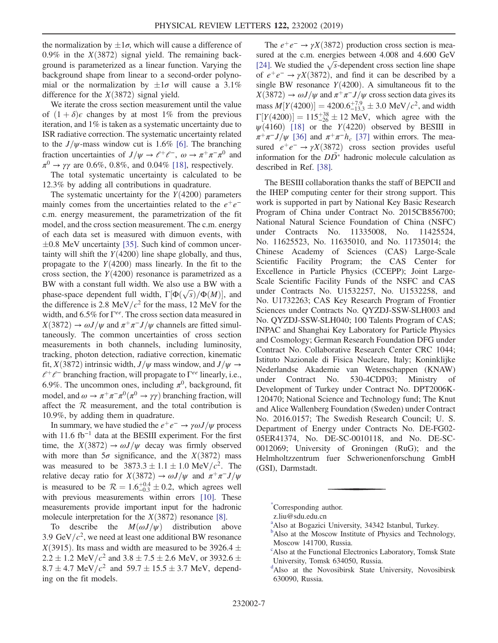the normalization by  $\pm 1\sigma$ , which will cause a difference of 0.9% in the  $X(3872)$  signal yield. The remaining back- $0.9\%$  in the  $X(3872)$  signal yield. The remaining background is parameterized as a linear function. Varying the background shape from linear to a second-order polynomial or the normalization by  $\pm 1\sigma$  will cause a 3.1%<br>difference for the  $Y(3872)$  signal yield difference for the  $X(3872)$  signal yield.

We iterate the cross section measurement until the value of  $(1 + \delta)\epsilon$  changes by at most 1% from the previous iteration, and 1% is taken as a systematic uncertainty due to ISR radiative correction. The systematic uncertainty related to the  $J/\psi$ -mass window cut is 1.6% [\[6\].](#page-7-12) The branching fraction uncertainties of  $J/\psi \rightarrow \ell^+ \ell^-$ ,  $\omega \rightarrow \pi^+ \pi^- \pi^0$  and  $\pi^0 \rightarrow \gamma \gamma$  are 0.6%, 0.8%, and 0.04% [\[18\]](#page-7-24), respectively.

The total systematic uncertainty is calculated to be 12.3% by adding all contributions in quadrature.

The systematic uncertainty for the  $Y(4200)$  parameters mainly comes from the uncertainties related to the  $e^+e^$ c.m. energy measurement, the parametrization of the fit model, and the cross section measurement. The c.m. energy of each data set is measured with dimuon events, with tainty will shift the  $Y(4200)$  line shape globally, and thus,<br>propagate to the  $Y(4200)$  mass linearly. In the fit to the  $\pm 0.8$  MeV uncertainty [\[35\]](#page-7-40). Such kind of common uncerpropagate to the  $Y(4200)$  mass linearly. In the fit to the cross section, the  $Y(4200)$  resonance is parametrized as a BW with a constant full width. We also use a BW with a phase-space dependent full width,  $\Gamma[\Phi(\sqrt{s})/\Phi(M)]$ , and the difference is 2.8 MeV/ $c^2$  for the mass 12 MeV for the the difference is 2.8 MeV/ $c^2$  for the mass, 12 MeV for the width, and 6.5% for  $\Gamma^{ee}$ . The cross section data measured in  $X(3872) \rightarrow \omega J/\psi$  and  $\pi^+\pi^-J/\psi$  channels are fitted simultaneously. The common uncertainties of cross section measurements in both channels, including luminosity, tracking, photon detection, radiative correction, kinematic fit,  $X(3872)$  intrinsic width,  $J/\psi$  mass window, and  $J/\psi \rightarrow$  $l^+\ell^-$  branching fraction, will propagate to  $\Gamma^{ee}$  linearly, i.e., 6.9%. The uncommon ones, including  $\pi^0$ , background, fit model, and  $\omega \to \pi^+\pi^-\pi^0(\pi^0 \to \gamma\gamma)$  branching fraction, will affect the  $R$  measurement, and the total contribution is 10.9%, by adding them in quadrature.

In summary, we have studied the  $e^+e^- \rightarrow \gamma \omega J/\psi$  process with 11.6 fb<sup>−</sup><sup>1</sup> data at the BESIII experiment. For the first time, the  $X(3872) \rightarrow \omega J/\psi$  decay was firmly observed with more than  $5\sigma$  significance, and the  $X(3872)$  mass was measured to be  $3873.3 \pm 1.1 \pm 1.0 \text{ MeV}/c^2$ . The relative decay ratio for  $X(3872) \rightarrow \omega I/\nu \epsilon$  and  $\pi^+\pi^- I/\nu \epsilon$ relative decay ratio for  $X(3872) \to \omega J/\psi$  and  $\pi^+\pi^-J/\psi$ is measured to be  $R = 1.6^{+0.4}_{-0.3} \pm 0.2$ , which agrees well<br>with previous measurements within errors [10]. These with previous measurements within errors [\[10\]](#page-7-16). These measurements provide important input for the hadronic molecule interpretation for the  $X(3872)$  resonance [\[8\].](#page-7-14)

To describe the  $M(\omega J/\psi)$  distribution above 3.9 GeV/ $c^2$ , we need at least one additional BW resonance  $X(3915)$ . Its mass and width are measured to be 3926.4  $\pm$ <br>2.2 + 1.2 MeV/ $c^2$  and 3.8 + 7.5 + 2.6 MeV, or 3932.6 + 2.2  $\pm$  1.2 MeV/ $c^2$  and 3.8  $\pm$  7.5  $\pm$  2.6 MeV, or 3932.6  $\pm$ <br>8.7  $\pm$  4.7 MeV/ $c^2$  and 59.7  $\pm$  15.5  $\pm$  3.7 MeV, depend- $8.7 \pm 4.7$  MeV/ $c^2$  and  $59.7 \pm 15.5 \pm 3.7$  MeV, depend-<br>ing on the fit models ing on the fit models.

The  $e^+e^- \rightarrow \gamma X(3872)$  production cross section is measured at the c.m. energies between 4.008 and 4.600 GeV [\[24\].](#page-7-30) We studied the  $\sqrt{s}$ -dependent cross section line shape of  $e^+e^- \rightarrow \gamma X(3872)$ , and find it can be described by a single BW resonance  $Y(4200)$ . A simultaneous fit to the  $X(3872) \rightarrow \omega J/\psi$  and  $\pi^+\pi^-J/\psi$  cross section data gives its mass  $M[Y(4200)] = 4200.6^{+7.9}_{-13.3} \pm 3.0 \text{ MeV}/c^2$ , and width<br> $\Gamma [V(4200)] = 115^{+38} \pm 12 \text{ MeV}$ , which agree with the  $\Gamma[Y(4200)] = 115^{+38}_{-26} \pm 12 \text{ MeV}$ , which agree with the  $w(4160)$  [18] or the  $Y(4220)$  observed by BESIII in  $\psi(4160)$  [\[18\]](#page-7-24) or the Y(4220) observed by BESIII in<br> $\pi^+\pi^- I/\psi$  [36] and  $\pi^+\pi^- h$  [37] within errors. The mea- $\pi^+\pi^-J/\psi$  [\[36\]](#page-7-41) and  $\pi^+\pi^-h_c$  [\[37\]](#page-7-42) within errors. The measured  $e^+e^- \rightarrow \gamma X(3872)$  cross section provides useful information for the  $D\overline{D}^*$  hadronic molecule calculation as described in Ref. [\[38\].](#page-7-43)

The BESIII collaboration thanks the staff of BEPCII and the IHEP computing center for their strong support. This work is supported in part by National Key Basic Research Program of China under Contract No. 2015CB856700; National Natural Science Foundation of China (NSFC) under Contracts No. 11335008, No. 11425524, No. 11625523, No. 11635010, and No. 11735014; the Chinese Academy of Sciences (CAS) Large-Scale Scientific Facility Program; the CAS Center for Excellence in Particle Physics (CCEPP); Joint Large-Scale Scientific Facility Funds of the NSFC and CAS under Contracts No. U1532257, No. U1532258, and No. U1732263; CAS Key Research Program of Frontier Sciences under Contracts No. QYZDJ-SSW-SLH003 and No. QYZDJ-SSW-SLH040; 100 Talents Program of CAS; INPAC and Shanghai Key Laboratory for Particle Physics and Cosmology; German Research Foundation DFG under Contract No. Collaborative Research Center CRC 1044; Istituto Nazionale di Fisica Nucleare, Italy; Koninklijke Nederlandse Akademie van Wetenschappen (KNAW) under Contract No. 530-4CDP03; Ministry of Development of Turkey under Contract No. DPT2006K-120470; National Science and Technology fund; The Knut and Alice Wallenberg Foundation (Sweden) under Contract No. 2016.0157; The Swedish Research Council; U. S. Department of Energy under Contracts No. DE-FG02- 05ER41374, No. DE-SC-0010118, and No. DE-SC-0012069; University of Groningen (RuG); and the Helmholtzzentrum fuer Schwerionenforschung GmbH (GSI), Darmstadt.

<span id="page-6-3"></span><span id="page-6-2"></span>[<sup>\\*</sup>](#page-0-0) Corresponding author.

<span id="page-6-1"></span>z.liu@sdu.edu.cn

<sup>&</sup>lt;sup>[a](#page-0-1)</sup>Also at Bogazici University, 34342 Istanbul, Turkey.

<sup>&</sup>lt;sup>[b](#page-0-2)</sup>Also at the Moscow Institute of Physics and Technology, Moscow 141700, Russia.

<span id="page-6-0"></span><sup>&</sup>lt;sup>c</sup>Also at the Functional Electronics Laboratory, Tomsk State University, Tomsk 634050, Russia.

[d](#page-0-3) Also at the Novosibirsk State University, Novosibirsk 630090, Russia.